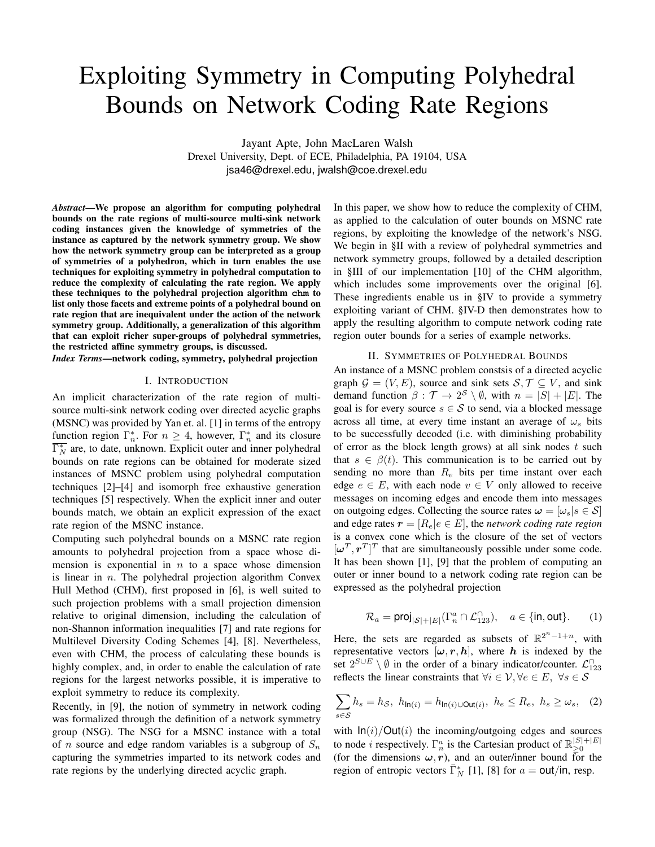# Exploiting Symmetry in Computing Polyhedral Bounds on Network Coding Rate Regions

Jayant Apte, John MacLaren Walsh Drexel University, Dept. of ECE, Philadelphia, PA 19104, USA jsa46@drexel.edu, jwalsh@coe.drexel.edu

*Abstract*—We propose an algorithm for computing polyhedral bounds on the rate regions of multi-source multi-sink network coding instances given the knowledge of symmetries of the instance as captured by the network symmetry group. We show how the network symmetry group can be interpreted as a group of symmetries of a polyhedron, which in turn enables the use techniques for exploiting symmetry in polyhedral computation to reduce the complexity of calculating the rate region. We apply these techniques to the polyhedral projection algorithm **chm** to list only those facets and extreme points of a polyhedral bound on rate region that are inequivalent under the action of the network symmetry group. Additionally, a generalization of this algorithm that can exploit richer super-groups of polyhedral symmetries, the restricted affine symmetry groups, is discussed.

*Index Terms*—network coding, symmetry, polyhedral projection

#### I. INTRODUCTION

An implicit characterization of the rate region of multisource multi-sink network coding over directed acyclic graphs (MSNC) was provided by Yan et. al. [1] in terms of the entropy function region  $\Gamma_n^*$ . For  $n \geq 4$ , however,  $\Gamma_n^*$  and its closure  $\overline{\Gamma_N^*}$  are, to date, unknown. Explicit outer and inner polyhedral bounds on rate regions can be obtained for moderate sized instances of MSNC problem using polyhedral computation techniques [2]–[4] and isomorph free exhaustive generation techniques [5] respectively. When the explicit inner and outer bounds match, we obtain an explicit expression of the exact rate region of the MSNC instance.

Computing such polyhedral bounds on a MSNC rate region amounts to polyhedral projection from a space whose dimension is exponential in  $n$  to a space whose dimension is linear in  $n$ . The polyhedral projection algorithm Convex Hull Method (CHM), first proposed in [6], is well suited to such projection problems with a small projection dimension relative to original dimension, including the calculation of non-Shannon information inequalities [7] and rate regions for Multilevel Diversity Coding Schemes [4], [8]. Nevertheless, even with CHM, the process of calculating these bounds is highly complex, and, in order to enable the calculation of rate regions for the largest networks possible, it is imperative to exploit symmetry to reduce its complexity.

Recently, in [9], the notion of symmetry in network coding was formalized through the definition of a network symmetry group (NSG). The NSG for a MSNC instance with a total of *n* source and edge random variables is a subgroup of  $S_n$ capturing the symmetries imparted to its network codes and rate regions by the underlying directed acyclic graph.

In this paper, we show how to reduce the complexity of CHM, as applied to the calculation of outer bounds on MSNC rate regions, by exploiting the knowledge of the network's NSG. We begin in §II with a review of polyhedral symmetries and network symmetry groups, followed by a detailed description in §III of our implementation [10] of the CHM algorithm, which includes some improvements over the original [6]. These ingredients enable us in §IV to provide a symmetry exploiting variant of CHM. §IV-D then demonstrates how to apply the resulting algorithm to compute network coding rate region outer bounds for a series of example networks.

#### II. SYMMETRIES OF POLYHEDRAL BOUNDS

An instance of a MSNC problem constsis of a directed acyclic graph  $G = (V, E)$ , source and sink sets  $S, \mathcal{T} \subseteq V$ , and sink demand function  $\beta : \mathcal{T} \to 2^S \setminus \emptyset$ , with  $n = |S| + |E|$ . The goal is for every source  $s \in S$  to send, via a blocked message across all time, at every time instant an average of  $\omega_s$  bits to be successfully decoded (i.e. with diminishing probability of error as the block length grows) at all sink nodes  $t$  such that  $s \in \beta(t)$ . This communication is to be carried out by sending no more than  $R_e$  bits per time instant over each edge  $e \in E$ , with each node  $v \in V$  only allowed to receive messages on incoming edges and encode them into messages on outgoing edges. Collecting the source rates  $\boldsymbol{\omega} = [\omega_s] s \in \mathcal{S}$ and edge rates  $r = [R_e | e \in E]$ , the *network coding rate region* is a convex cone which is the closure of the set of vectors  $[\boldsymbol{\omega}^T, \boldsymbol{r}^T]^T$  that are simultaneously possible under some code. It has been shown [1], [9] that the problem of computing an outer or inner bound to a network coding rate region can be expressed as the polyhedral projection

$$
\mathcal{R}_a = \text{proj}_{|\mathcal{S}|+|E|}(\Gamma_n^a \cap \mathcal{L}_{123}^{\cap}), \quad a \in \{\text{in}, \text{out}\}. \tag{1}
$$

Here, the sets are regarded as subsets of  $\mathbb{R}^{2^n-1+n}$ , with representative vectors  $[\omega, r, h]$ , where h is indexed by the set  $2^{S \cup E} \setminus \emptyset$  in the order of a binary indicator/counter.  $\mathcal{L}_{123}^{\cap}$ reflects the linear constraints that  $\forall i \in \mathcal{V}, \forall e \in E, \forall s \in \mathcal{S}$ 

$$
\sum_{s \in \mathcal{S}} h_s = h_{\mathcal{S}}, \ h_{\mathsf{In}(i)} = h_{\mathsf{In}(i) \cup \mathsf{Out}(i)}, \ h_e \le R_e, \ h_s \ge \omega_s, \tag{2}
$$

with  $\ln(i)/\text{Out}(i)$  the incoming/outgoing edges and sources to node *i* respectively.  $\Gamma_n^a$  is the Cartesian product of  $\mathbb{R}_{\geq 0}^{|S|+|E|}$ ≥0 (for the dimensions  $\omega$ , r), and an outer/inner bound for the region of entropic vectors  $\overline{\Gamma}_N^*$  [1], [8] for  $a = \text{out/in}, \text{ resp.}$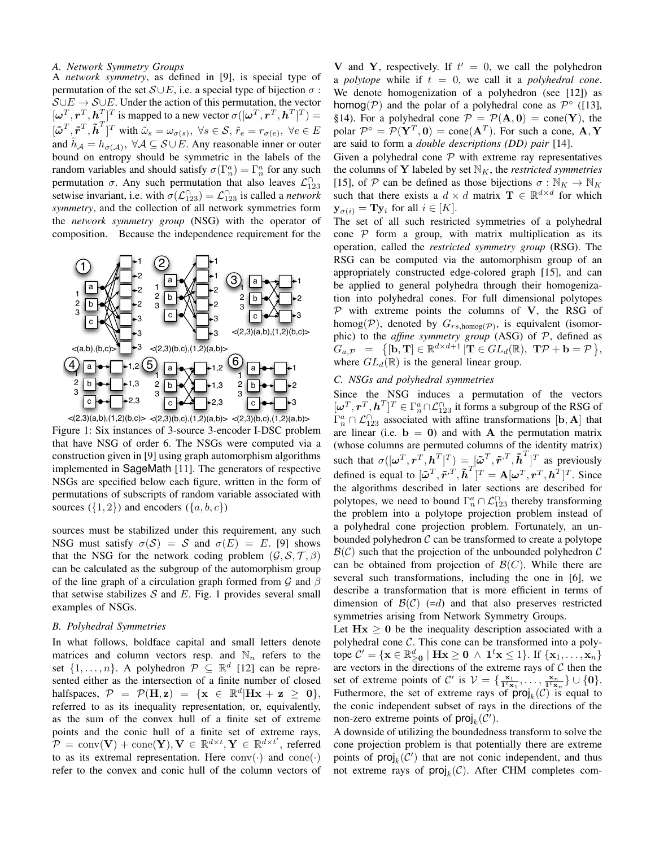#### *A. Network Symmetry Groups*

A *network symmetry*, as defined in [9], is special type of permutation of the set  $S \cup E$ , i.e. a special type of bijection  $\sigma$ :  $\mathcal{S} \cup E \rightarrow \mathcal{S} \cup E$ . Under the action of this permutation, the vector  $[\boldsymbol{\omega}^T, \boldsymbol{r}^T, \boldsymbol{h}^T]^T$  is mapped to a new vector  $\sigma([\boldsymbol{\omega}^T, \boldsymbol{r}^T, \boldsymbol{h}^T]^T) =$  $\left[\tilde{\boldsymbol{\omega}}^T, \tilde{\boldsymbol{r}}^T, \tilde{\boldsymbol{h}}^T\right]^T$  with  $\tilde{\omega}_s = \omega_{\sigma(s)}, \ \forall s \in \mathcal{S}, \ \tilde{r}_e = r_{\sigma(e)}, \ \forall e \in E$ and  $\tilde{h}_{\mathcal{A}} = h_{\sigma(\mathcal{A})}, \ \forall \mathcal{A} \subseteq \mathcal{S} \cup \tilde{E}$ . Any reasonable inner or outer bound on entropy should be symmetric in the labels of the random variables and should satisfy  $\sigma(\Gamma_n^a) = \Gamma_n^a$  for any such permutation  $\sigma$ . Any such permutation that also leaves  $\mathcal{L}_{123}^{\cap}$ setwise invariant, i.e. with  $\sigma(\mathcal{L}_{123}^{\cap}) = \mathcal{L}_{123}^{\cap}$  is called a *network symmetry*, and the collection of all network symmetries form the *network symmetry group* (NSG) with the operator of composition. Because the independence requirement for the



 $\langle (2,3)(a,b),(1,2)(b,c) \rangle \langle (2,3)(b,c),(1,2)(a,b) \rangle \langle (2,3)(b,c),(1,2)(a,b) \rangle$ Figure 1: Six instances of 3-source 3-encoder I-DSC problem that have NSG of order 6. The NSGs were computed via a construction given in [9] using graph automorphism algorithms implemented in SageMath [11]. The generators of respective NSGs are specified below each figure, written in the form of permutations of subscripts of random variable associated with sources  $({1, 2})$  and encoders  $({a, b, c})$ 

sources must be stabilized under this requirement, any such NSG must satisfy  $\sigma(S) = S$  and  $\sigma(E) = E$ . [9] shows that the NSG for the network coding problem  $(G, \mathcal{S}, \mathcal{T}, \beta)$ can be calculated as the subgroup of the automorphism group of the line graph of a circulation graph formed from  $\mathcal G$  and  $\beta$ that setwise stabilizes  $S$  and  $E$ . Fig. 1 provides several small examples of NSGs.

#### *B. Polyhedral Symmetries*

In what follows, boldface capital and small letters denote matrices and column vectors resp. and  $\mathbb{N}_n$  refers to the set  $\{1, \ldots, n\}$ . A polyhedron  $\mathcal{P} \subseteq \mathbb{R}^d$  [12] can be represented either as the intersection of a finite number of closed halfspaces,  $\mathcal{P} = \mathcal{P}(\mathbf{H}, \mathbf{z}) = \{ \mathbf{x} \in \mathbb{R}^d | \mathbf{H} \mathbf{x} + \mathbf{z} \geq \mathbf{0} \},\$ referred to as its inequality representation, or, equivalently, as the sum of the convex hull of a finite set of extreme points and the conic hull of a finite set of extreme rays,  $\mathcal{P} = \text{conv}(\mathbf{V}) + \text{cone}(\mathbf{Y}), \mathbf{V} \in \mathbb{R}^{d \times t}, \mathbf{Y} \in \mathbb{R}^{d \times t'}$ , referred to as its extremal representation. Here  $conv(\cdot)$  and  $cone(\cdot)$ refer to the convex and conic hull of the column vectors of

V and Y, respectively. If  $t' = 0$ , we call the polyhedron a *polytope* while if  $t = 0$ , we call it a *polyhedral cone*. We denote homogenization of a polyhedron (see [12]) as homog( $P$ ) and the polar of a polyhedral cone as  $P^{\circ}$  ([13], §14). For a polyhedral cone  $\mathcal{P} = \mathcal{P}(\mathbf{A}, \mathbf{0}) = \text{cone}(\mathbf{Y})$ , the polar  $\mathcal{P}^{\circ} = \mathcal{P}(\mathbf{Y}^T, \mathbf{0}) = \text{cone}(\mathbf{A}^T)$ . For such a cone,  $\mathbf{A}, \mathbf{Y}$ are said to form a *double descriptions (DD) pair* [14].

Given a polyhedral cone  $P$  with extreme ray representatives the columns of Y labeled by set  $\mathbb{N}_K$ , the *restricted symmetries* [15], of P can be defined as those bijections  $\sigma : \mathbb{N}_K \to \mathbb{N}_K$ such that there exists a  $d \times d$  matrix  $\mathbf{T} \in \mathbb{R}^{d \times d}$  for which  $y_{\sigma(i)} = Ty_i$  for all  $i \in [K]$ .

The set of all such restricted symmetries of a polyhedral cone  $P$  form a group, with matrix multiplication as its operation, called the *restricted symmetry group* (RSG). The RSG can be computed via the automorphism group of an appropriately constructed edge-colored graph [15], and can be applied to general polyhedra through their homogenization into polyhedral cones. For full dimensional polytopes  $P$  with extreme points the columns of V, the RSG of homog( $P$ ), denoted by  $G_{rs, \text{homog}(\mathcal{P})}$ , is equivalent (isomorphic) to the *affine symmetry group* (ASG) of P, defined as  $G_{a,\mathcal{P}} \hspace{2mm} = \hspace{2mm} \big\{[\mathbf{b},\mathbf{T}] \in \mathbb{R}^{d \times d+1} \, | \mathbf{T} \in GL_d(\mathbb{R}), \; \mathbf{T}\mathcal{P} + \mathbf{b} = \mathcal{P} \big\},$ where  $GL_d(\mathbb{R})$  is the general linear group.

#### *C. NSGs and polyhedral symmetries*

Since the NSG induces a permutation of the vectors  $[\boldsymbol{\omega}^T, \boldsymbol{r}^T, \boldsymbol{h}^T]^T \in \Gamma_n^a \cap \mathcal{L}_{123}^{\cap}$  it forms a subgroup of the RSG of  $\Gamma_n^a \cap \mathcal{L}_{123}^{\cap}$  associated with affine transformations  $[\mathbf{b}, \mathbf{A}]$  that are linear (i.e.  $\mathbf{b} = \mathbf{0}$ ) and with **A** the permutation matrix (whose columns are permuted columns of the identity matrix) such that  $\sigma([\omega^T, \mathbf{r}^T, \mathbf{h}^T]^T) = [\tilde{\omega}^T, \tilde{\mathbf{r}}^T, \tilde{\mathbf{h}}^T]^T$  as previously defined is equal to  $[\tilde{\omega}^T, \tilde{r}^T, \tilde{h}^T]^T = A[\omega^T, r^T, h^T]^T$ . Since the algorithms described in later sections are described for polytopes, we need to bound  $\Gamma_n^a \cap \mathcal{L}_{123}^{\cap}$  thereby transforming the problem into a polytope projection problem instead of a polyhedral cone projection problem. Fortunately, an unbounded polyhedron  $\mathcal C$  can be transformed to create a polytope  $\mathcal{B}(\mathcal{C})$  such that the projection of the unbounded polyhedron  $\mathcal{C}$ can be obtained from projection of  $\mathcal{B}(C)$ . While there are several such transformations, including the one in [6], we describe a transformation that is more efficient in terms of dimension of  $\mathcal{B}(\mathcal{C})$  (=d) and that also preserves restricted symmetries arising from Network Symmetry Groups.

Let  $Hx > 0$  be the inequality description associated with a polyhedral cone C. This cone can be transformed into a polytope  $\mathcal{C}' = \{ \mathbf{x} \in \mathbb{R}_{\geq 0}^d \mid \mathbf{H}\mathbf{x} \geq \mathbf{0} \land \mathbf{1}^t\mathbf{x} \leq 1 \}.$  If  $\{ \mathbf{x}_1, \ldots, \mathbf{x}_n \}$ are vectors in the directions of the extreme rays of  $C$  then the set of extreme points of C' is  $V = \{\frac{\mathbf{x}_1}{\mathbf{1}^t \mathbf{x}_1}, \dots, \frac{\mathbf{x}_n}{\mathbf{1}^t \mathbf{x}_n}\} \cup \{0\}.$ Futhermore, the set of extreme rays of  $\text{proj}_k(\mathcal{C})$  is equal to the conic independent subset of rays in the directions of the non-zero extreme points of  $\text{proj}_k(\mathcal{C}')$ .

A downside of utilizing the boundedness transform to solve the cone projection problem is that potentially there are extreme points of  $\textsf{proj}_k(\mathcal{C}')$  that are not conic independent, and thus not extreme rays of  $\text{proj}_k(\mathcal{C})$ . After CHM completes com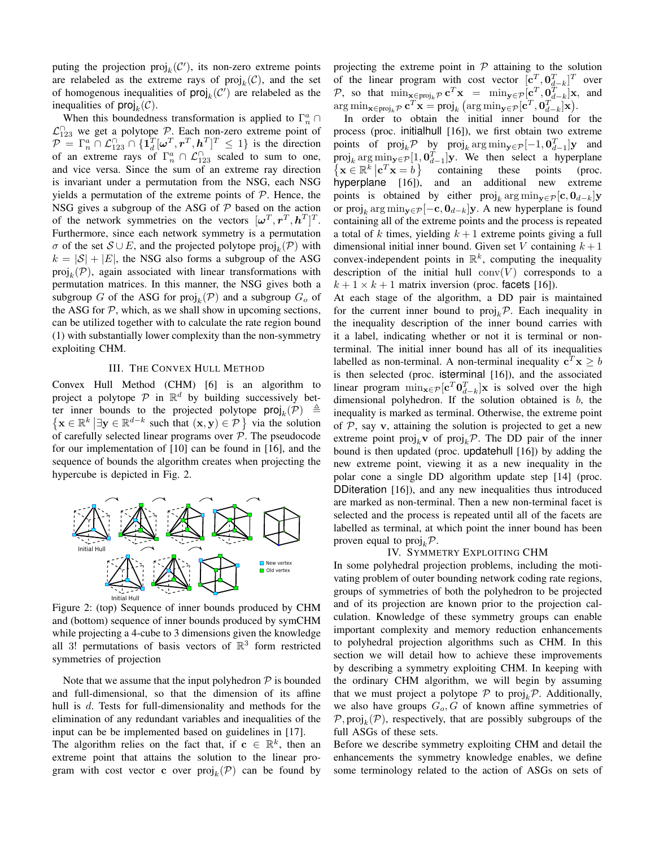puting the projection  $\text{proj}_k(\mathcal{C}')$ , its non-zero extreme points are relabeled as the extreme rays of  $\text{proj}_k(\mathcal{C})$ , and the set of homogenous inequalities of  $\textsf{proj}_k(\mathcal{C}')$  are relabeled as the inequalities of  $\textsf{proj}_k(\mathcal{C})$ .

When this boundedness transformation is applied to  $\Gamma_n^a \cap$  $\mathcal{L}_{123}^{\cap}$  we get a polytope  $\mathcal{P}$ . Each non-zero extreme point of  $\mathcal{P} = \Gamma_n^a \cap \mathcal{L}_{123}^{\cap} \cap \{\mathbf{1}_d^T[\boldsymbol{\omega}^T, \boldsymbol{r}^T, \boldsymbol{h}^T]^T \leq 1\}$  is the direction of an extreme rays of  $\Gamma_n^a \cap \mathcal{L}_{123}^{\cap}$  scaled to sum to one, and vice versa. Since the sum of an extreme ray direction is invariant under a permutation from the NSG, each NSG yields a permutation of the extreme points of  $P$ . Hence, the NSG gives a subgroup of the ASG of  $P$  based on the action of the network symmetries on the vectors  $[\boldsymbol{\omega}^T, \boldsymbol{r}^T, \boldsymbol{h}^T]^T$ . Furthermore, since each network symmetry is a permutation  $\sigma$  of the set  $S \cup E$ , and the projected polytope proj $_k(\mathcal{P})$  with  $k = |\mathcal{S}| + |E|$ , the NSG also forms a subgroup of the ASG  $\text{proj}_k(\mathcal{P})$ , again associated with linear transformations with permutation matrices. In this manner, the NSG gives both a subgroup G of the ASG for  $\text{proj}_k(\mathcal{P})$  and a subgroup  $G_o$  of the ASG for  $P$ , which, as we shall show in upcoming sections, can be utilized together with to calculate the rate region bound (1) with substantially lower complexity than the non-symmetry exploiting CHM.

#### III. THE CONVEX HULL METHOD

Convex Hull Method (CHM) [6] is an algorithm to project a polytope  $P$  in  $\mathbb{R}^d$  by building successively better inner bounds to the projected polytope  $\textsf{proj}_k(\mathcal{P}) \triangleq$  $\left\{ \mathbf{x} \in \mathbb{R}^k \middle| \exists \mathbf{y} \in \mathbb{R}^{d-k} \text{ such that } (\mathbf{x}, \mathbf{y}) \in \mathcal{P} \right\}$  via the solution of carefully selected linear programs over  $\mathcal{P}$ . The pseudocode for our implementation of [10] can be found in [16], and the sequence of bounds the algorithm creates when projecting the hypercube is depicted in Fig. 2.



Figure 2: (top) Sequence of inner bounds produced by CHM and (bottom) sequence of inner bounds produced by symCHM while projecting a 4-cube to 3 dimensions given the knowledge all 3! permutations of basis vectors of  $\mathbb{R}^3$  form restricted symmetries of projection

Note that we assume that the input polyhedron  $P$  is bounded and full-dimensional, so that the dimension of its affine hull is d. Tests for full-dimensionality and methods for the elimination of any redundant variables and inequalities of the input can be be implemented based on guidelines in [17].

The algorithm relies on the fact that, if  $c \in \mathbb{R}^k$ , then an extreme point that attains the solution to the linear program with cost vector c over  $\text{proj}_k(\mathcal{P})$  can be found by projecting the extreme point in  $P$  attaining to the solution of the linear program with cost vector  $[c_1^T, 0_{d-k}^T]^T$  over P, so that  $\min_{\mathbf{x} \in \text{proj}_k \mathcal{P}} \mathbf{c}^T \mathbf{x} = \min_{\mathbf{y} \in \mathcal{P}} [\mathbf{c}^T, \mathbf{0}_{d-k}^T] \mathbf{x}$ , and  $\arg\min_{\mathbf{x}\in\text{proj}_k\mathcal{P}} \mathbf{c}^T\mathbf{x} = \text{proj}_k \left(\arg\min_{\mathbf{y}\in\mathcal{P}}[\mathbf{c}^T,\mathbf{0}_{d-k}^T]\mathbf{x}\right).$ 

In order to obtain the initial inner bound for the process (proc. initialhull [16]), we first obtain two extreme points of  $\text{proj}_k \mathcal{P}$  by  $\text{proj}_k \arg \min_{\mathbf{y} \in \mathcal{P}} [-1, \mathbf{0}_{d-1}^T] \mathbf{y}$  and proj<sub>k</sub> arg min<sub>y∈</sub> $\mathcal{P}$ [1,  $\mathbf{0}_{d-1}^T$ ]y. We then select a hyperplane  $\{ \mathbf{x} \in \mathbb{R}^k \mid \mathbf{c}^T \mathbf{x} = b \}$  containing these points (proc. hyperplane [16]), and an additional new extreme points is obtained by either  $\text{proj}_k \arg \min_{\mathbf{y} \in \mathcal{P}} [\mathbf{c}, \mathbf{0}_{d-k}] \mathbf{y}$ or  $\text{proj}_k \arg \min_{\mathbf{y} \in \mathcal{P}} [-\mathbf{c}, \mathbf{0}_{d-k}] \mathbf{y}$ . A new hyperplane is found containing all of the extreme points and the process is repeated a total of k times, yielding  $k + 1$  extreme points giving a full dimensional initial inner bound. Given set V containing  $k+1$ convex-independent points in  $\mathbb{R}^k$ , computing the inequality description of the initial hull  $conv(V)$  corresponds to a  $k + 1 \times k + 1$  matrix inversion (proc. facets [16]).

At each stage of the algorithm, a DD pair is maintained for the current inner bound to  $proj_k \mathcal{P}$ . Each inequality in the inequality description of the inner bound carries with it a label, indicating whether or not it is terminal or nonterminal. The initial inner bound has all of its inequalities labelled as non-terminal. A non-terminal inequality  $\mathbf{c}^T \mathbf{x} \geq b$ is then selected (proc. isterminal [16]), and the associated linear program  $\min_{\mathbf{x} \in \mathcal{P}} [\mathbf{c}^T \mathbf{0}_{d-k}^T] \mathbf{x}$  is solved over the high dimensional polyhedron. If the solution obtained is  $b$ , the inequality is marked as terminal. Otherwise, the extreme point of  $P$ , say v, attaining the solution is projected to get a new extreme point  $proj_k$ **v** of  $proj_k$ **P**. The DD pair of the inner bound is then updated (proc. updatehull [16]) by adding the new extreme point, viewing it as a new inequality in the polar cone a single DD algorithm update step [14] (proc. DDiteration [16]), and any new inequalities thus introduced are marked as non-terminal. Then a new non-terminal facet is selected and the process is repeated until all of the facets are labelled as terminal, at which point the inner bound has been proven equal to  $proj_k \mathcal{P}$ .

### IV. SYMMETRY EXPLOITING CHM

In some polyhedral projection problems, including the motivating problem of outer bounding network coding rate regions, groups of symmetries of both the polyhedron to be projected and of its projection are known prior to the projection calculation. Knowledge of these symmetry groups can enable important complexity and memory reduction enhancements to polyhedral projection algorithms such as CHM. In this section we will detail how to achieve these improvements by describing a symmetry exploiting CHM. In keeping with the ordinary CHM algorithm, we will begin by assuming that we must project a polytope  $P$  to proj<sub>k</sub> $P$ . Additionally, we also have groups  $G_o$ , G of known affine symmetries of  $\mathcal{P}, \text{proj}_k(\mathcal{P})$ , respectively, that are possibly subgroups of the full ASGs of these sets.

Before we describe symmetry exploiting CHM and detail the enhancements the symmetry knowledge enables, we define some terminology related to the action of ASGs on sets of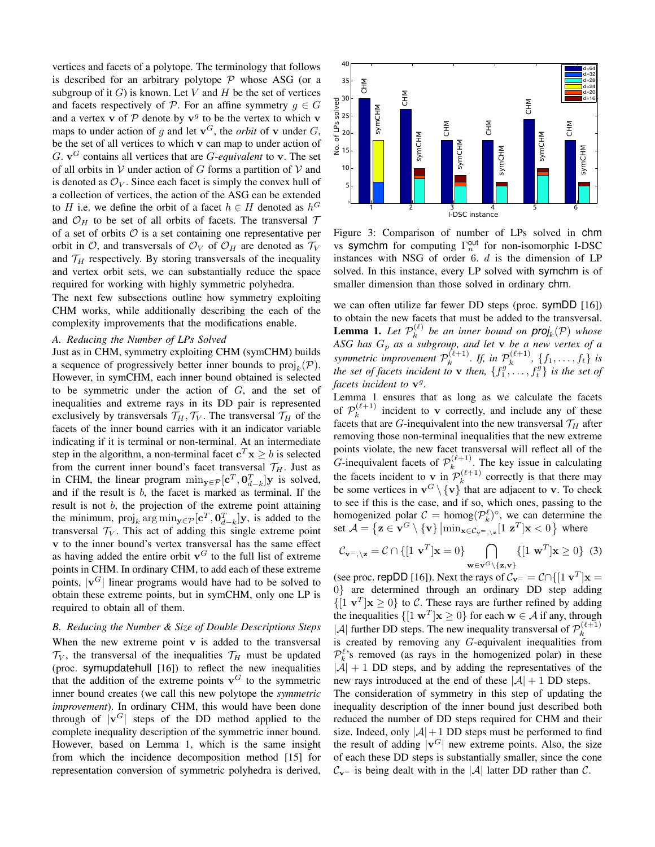vertices and facets of a polytope. The terminology that follows is described for an arbitrary polytope  $P$  whose ASG (or a subgroup of it  $G$ ) is known. Let V and H be the set of vertices and facets respectively of  $P$ . For an affine symmetry  $g \in G$ and a vertex v of  $P$  denote by  $v<sup>g</sup>$  to be the vertex to which v maps to under action of g and let  $\mathbf{v}^G$ , the *orbit* of **v** under G, be the set of all vertices to which v can map to under action of  $G$ .  $v^G$  contains all vertices that are  $G$ -equivalent to **v**. The set of all orbits in  $V$  under action of G forms a partition of  $V$  and is denoted as  $\mathcal{O}_V$ . Since each facet is simply the convex hull of a collection of vertices, the action of the ASG can be extended to H i.e. we define the orbit of a facet  $h \in H$  denoted as  $h^G$ and  $\mathcal{O}_H$  to be set of all orbits of facets. The transversal  $\mathcal T$ of a set of orbits  $\mathcal O$  is a set containing one representative per orbit in  $\mathcal{O}$ , and transversals of  $\mathcal{O}_V$  of  $\mathcal{O}_H$  are denoted as  $\mathcal{T}_V$ and  $\mathcal{T}_H$  respectively. By storing transversals of the inequality and vertex orbit sets, we can substantially reduce the space required for working with highly symmetric polyhedra.

The next few subsections outline how symmetry exploiting CHM works, while additionally describing the each of the complexity improvements that the modifications enable.

#### *A. Reducing the Number of LPs Solved*

Just as in CHM, symmetry exploiting CHM (symCHM) builds a sequence of progressively better inner bounds to  $\text{proj}_k(\mathcal{P})$ . However, in symCHM, each inner bound obtained is selected to be symmetric under the action of  $G$ , and the set of inequalities and extreme rays in its DD pair is represented exclusively by transversals  $\mathcal{T}_H, \mathcal{T}_V$ . The transversal  $\mathcal{T}_H$  of the facets of the inner bound carries with it an indicator variable indicating if it is terminal or non-terminal. At an intermediate step in the algorithm, a non-terminal facet  $c^T x \geq b$  is selected from the current inner bound's facet transversal  $\mathcal{T}_H$ . Just as in CHM, the linear program  $\min_{\mathbf{y} \in \mathcal{P}} [\mathbf{c}^T, \mathbf{0}_{d-k}^T] \mathbf{y}$  is solved, and if the result is  $b$ , the facet is marked as terminal. If the result is not  $b$ , the projection of the extreme point attaining the minimum,  $proj_k arg min_{\mathbf{y} \in \mathcal{P}} [\mathbf{c}^T, \mathbf{0}_{d-k}^T] \mathbf{y}$ , is added to the transversal  $T_V$ . This act of adding this single extreme point v to the inner bound's vertex transversal has the same effect as having added the entire orbit  $v^G$  to the full list of extreme points in CHM. In ordinary CHM, to add each of these extreme points,  $|v^G|$  linear programs would have had to be solved to obtain these extreme points, but in symCHM, only one LP is required to obtain all of them. to *H* i.e. we define the orbit of a facet  $h \in H$  denoted as  $h^G$ <br>and  $O_H$  to be set of all orbits of facets. The transversal  $\tau$ <br>of a set of orbits  $O$  is a set containing one representative per<br>from  $h$  or  $O_H$  or  $O_H$ 

# *B. Reducing the Number & Size of Double Descriptions Steps*

When the new extreme point  $v$  is added to the transversal  $\mathcal{T}_V$ , the transversal of the inequalities  $\mathcal{T}_H$  must be updated (proc. symupdatehull [16]) to reflect the new inequalities that the addition of the extreme points  $v<sup>G</sup>$  to the symmetric inner bound creates (we call this new polytope the *symmetric improvement*). In ordinary CHM, this would have been done through of  $|v^G|$  steps of the DD method applied to the complete inequality description of the symmetric inner bound. However, based on Lemma 1, which is the same insight from which the incidence decomposition method [15] for



Figure 3: Comparison of number of LPs solved in chm vs symchm for computing  $\Gamma_n^{\text{out}}$  for non-isomorphic I-DSC instances with NSG of order  $6. d$  is the dimension of LP solved. In this instance, every LP solved with symchm is of smaller dimension than those solved in ordinary chm.

we can often utilize far fewer DD steps (proc. symDD [16]) to obtain the new facets that must be added to the transversal. **Lemma 1.** Let  $\mathcal{P}_k^{(\ell)}$  be an inner bound on  $proj_k(\mathcal{P})$  whose **Lemma 1.** Let  $r_k$  be an unter-bound on  $\text{proj}_k(r)$  whose<br>ASG has  $G_p$  as a subgroup, and let **v** be a new vertex of a *symmetric improvement*  $P_k^{(\ell+1)}$  $\int_k^{(\ell+1)}$ . If, in  $\mathcal{P}_k^{(\ell+1)}$  $\{f_1, \ldots, f_t\}$  *is the set of facets incident to* **v** *then,*  $\{f_1^g, \ldots, f_t^g\}$  *is the set of* facets incident to  $v^g$ .

Lemma 1 ensures that as long as we calculate the facets of  $\mathcal{P}_k^{(\ell+1)}$  $\kappa_k^{(k+1)}$  incident to **v** correctly, and include any of these facets that are G-inequivalent into the new transversal  $\mathcal{T}_H$  after removing those non-terminal inequalities that the new extreme points violate, the new facet transversal will reflect all of the G-inequivalent facets of  $\mathcal{P}_k^{(\ell+1)}$  $k$ <sup>( $k+1$ </sup>). The key issue in calculating the facets incident to **v** in  $\mathcal{P}_k^{(\ell+1)}$  $k^{(\ell+1)}$  correctly is that there may be some vertices in  $\mathbf{v}^G \setminus {\{\mathbf{v}\}}$  that are adjacent to **v**. To check to see if this is the case, and if so, which ones, passing to the homogenized polar  $C = \text{homog}(\mathcal{P}_k^{\ell})^{\circ}$ , we can determine the set  $\mathcal{A} = \{ \mathbf{z} \in \mathbf{v}^G \setminus \{ \mathbf{v} \} \big| \min_{\mathbf{x} \in \mathcal{C}_{\mathbf{v}^=,\setminus \mathbf{z}}}[1 \; \mathbf{z}^T] \mathbf{x} < 0 \, \}$  where

$$
\mathcal{C}_{\mathbf{v}^=,\setminus\mathbf{z}} = \mathcal{C} \cap \{ [1 \ \mathbf{v}^T | \mathbf{x} = 0 \} \bigcap_{\mathbf{w} \in \mathbf{v}^G \setminus \{\mathbf{z}, \mathbf{v}\}} \{ [1 \ \mathbf{w}^T | \mathbf{x} \ge 0 \} \tag{3}
$$

(see proc. repDD [16]). Next the rays of  $C_{\mathbf{v}^+} = \mathcal{C} \cap \{ [\mathbf{1} \mathbf{v}^T] \mathbf{x} =$ 0} are determined through an ordinary DD step adding  $\{[1 \mathbf{v}^T] \mathbf{x} \ge 0\}$  to C. These rays are further refined by adding the inequalities  $\{[\mathbf{1} \mathbf{w}^T] \mathbf{x} \geq 0\}$  for each  $\mathbf{w} \in \mathcal{A}$  if any, through |A| further DD steps. The new inequality transversal of  $\mathcal{P}_k^{(\ell+1)}$ k is created by removing any G-equivalent inequalities from  $\mathcal{P}_k^{\ell}$ 's removed (as rays in the homogenized polar) in these  $|A| + 1$  DD steps, and by adding the representatives of the new rays introduced at the end of these  $|\mathcal{A}| + 1$  DD steps. The consideration of symmetry in this step of updating the

inequality description of the inner bound just described both reduced the number of DD steps required for CHM and their size. Indeed, only  $|A|+1$  DD steps must be performed to find the result of adding  $|v^G|$  new extreme points. Also, the size of each these DD steps is substantially smaller, since the cone  $\mathcal{C}_{v}$  is being dealt with in the  $|\mathcal{A}|$  latter DD rather than  $\mathcal{C}$ .